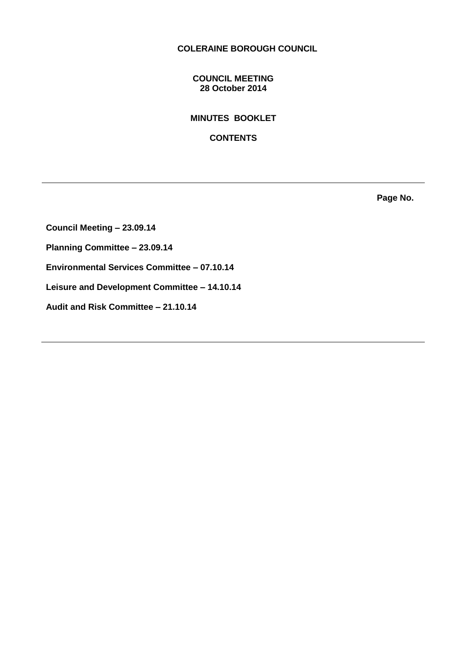# **COLERAINE BOROUGH COUNCIL**

## **COUNCIL MEETING 28 October 2014**

**MINUTES BOOKLET** 

**CONTENTS**

**Page No.**

**Council Meeting – 23.09.14 Planning Committee – 23.09.14 Environmental Services Committee – 07.10.14 Leisure and Development Committee – 14.10.14 Audit and Risk Committee – 21.10.14**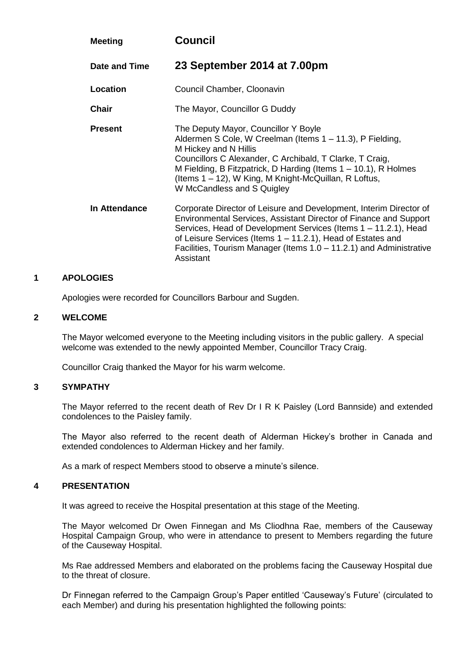| <b>Meeting</b> | <b>Council</b>                                                                                                                                                                                                                                                                                                                                                |  |
|----------------|---------------------------------------------------------------------------------------------------------------------------------------------------------------------------------------------------------------------------------------------------------------------------------------------------------------------------------------------------------------|--|
| Date and Time  | 23 September 2014 at 7.00pm                                                                                                                                                                                                                                                                                                                                   |  |
| Location       | Council Chamber, Cloonavin                                                                                                                                                                                                                                                                                                                                    |  |
| Chair          | The Mayor, Councillor G Duddy                                                                                                                                                                                                                                                                                                                                 |  |
| <b>Present</b> | The Deputy Mayor, Councillor Y Boyle<br>Aldermen S Cole, W Creelman (Items 1 – 11.3), P Fielding,<br>M Hickey and N Hillis<br>Councillors C Alexander, C Archibald, T Clarke, T Craig,<br>M Fielding, B Fitzpatrick, D Harding (Items $1 - 10.1$ ), R Holmes<br>(Items 1 – 12), W King, M Knight-McQuillan, R Loftus,<br>W McCandless and S Quigley           |  |
| In Attendance  | Corporate Director of Leisure and Development, Interim Director of<br>Environmental Services, Assistant Director of Finance and Support<br>Services, Head of Development Services (Items 1 – 11.2.1), Head<br>of Leisure Services (Items 1 – 11.2.1), Head of Estates and<br>Facilities, Tourism Manager (Items 1.0 – 11.2.1) and Administrative<br>Assistant |  |

#### **1 APOLOGIES**

Apologies were recorded for Councillors Barbour and Sugden.

### **2 WELCOME**

The Mayor welcomed everyone to the Meeting including visitors in the public gallery. A special welcome was extended to the newly appointed Member, Councillor Tracy Craig.

Councillor Craig thanked the Mayor for his warm welcome.

#### **3 SYMPATHY**

The Mayor referred to the recent death of Rev Dr I R K Paisley (Lord Bannside) and extended condolences to the Paisley family.

The Mayor also referred to the recent death of Alderman Hickey's brother in Canada and extended condolences to Alderman Hickey and her family.

As a mark of respect Members stood to observe a minute's silence.

#### **4 PRESENTATION**

It was agreed to receive the Hospital presentation at this stage of the Meeting.

The Mayor welcomed Dr Owen Finnegan and Ms Cliodhna Rae, members of the Causeway Hospital Campaign Group, who were in attendance to present to Members regarding the future of the Causeway Hospital.

Ms Rae addressed Members and elaborated on the problems facing the Causeway Hospital due to the threat of closure.

Dr Finnegan referred to the Campaign Group's Paper entitled 'Causeway's Future' (circulated to each Member) and during his presentation highlighted the following points: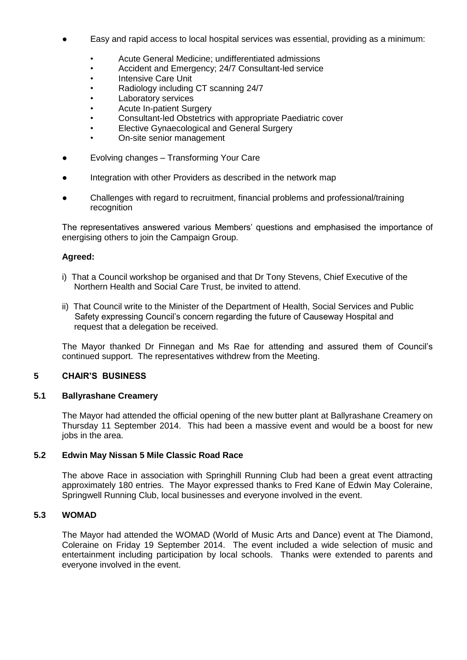- Easy and rapid access to local hospital services was essential, providing as a minimum:
	- Acute General Medicine; undifferentiated admissions
	- Accident and Emergency; 24/7 Consultant-led service
	- Intensive Care Unit
	- Radiology including CT scanning 24/7
	- Laboratory services
	- Acute In-patient Surgery
	- Consultant-led Obstetrics with appropriate Paediatric cover
	- Elective Gynaecological and General Surgery
	- On-site senior management
- Evolving changes Transforming Your Care
- Integration with other Providers as described in the network map
- Challenges with regard to recruitment, financial problems and professional/training recognition

The representatives answered various Members' questions and emphasised the importance of energising others to join the Campaign Group.

# **Agreed:**

- i) That a Council workshop be organised and that Dr Tony Stevens, Chief Executive of the Northern Health and Social Care Trust, be invited to attend.
- ii) That Council write to the Minister of the Department of Health, Social Services and Public Safety expressing Council's concern regarding the future of Causeway Hospital and request that a delegation be received.

The Mayor thanked Dr Finnegan and Ms Rae for attending and assured them of Council's continued support. The representatives withdrew from the Meeting.

# **5 CHAIR'S BUSINESS**

# **5.1 Ballyrashane Creamery**

The Mayor had attended the official opening of the new butter plant at Ballyrashane Creamery on Thursday 11 September 2014. This had been a massive event and would be a boost for new jobs in the area.

# **5.2 Edwin May Nissan 5 Mile Classic Road Race**

The above Race in association with Springhill Running Club had been a great event attracting approximately 180 entries. The Mayor expressed thanks to Fred Kane of Edwin May Coleraine, Springwell Running Club, local businesses and everyone involved in the event.

# **5.3 WOMAD**

The Mayor had attended the WOMAD (World of Music Arts and Dance) event at The Diamond, Coleraine on Friday 19 September 2014. The event included a wide selection of music and entertainment including participation by local schools. Thanks were extended to parents and everyone involved in the event.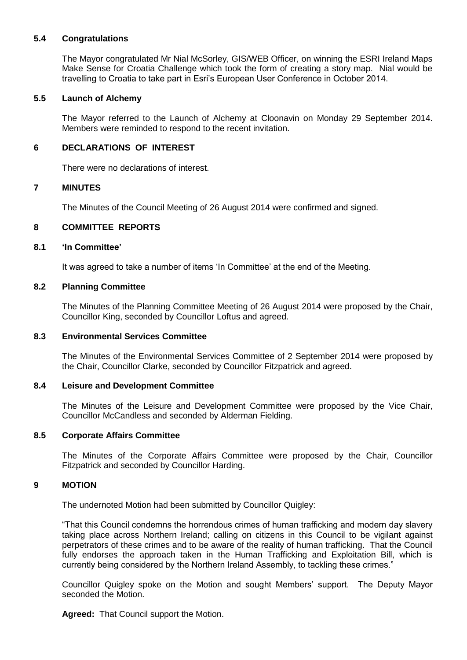# **5.4 Congratulations**

The Mayor congratulated Mr Nial McSorley, GIS/WEB Officer, on winning the ESRI Ireland Maps Make Sense for Croatia Challenge which took the form of creating a story map. Nial would be travelling to Croatia to take part in Esri's European User Conference in October 2014.

#### **5.5 Launch of Alchemy**

The Mayor referred to the Launch of Alchemy at Cloonavin on Monday 29 September 2014. Members were reminded to respond to the recent invitation.

#### **6 DECLARATIONS OF INTEREST**

There were no declarations of interest.

#### **7 MINUTES**

The Minutes of the Council Meeting of 26 August 2014 were confirmed and signed.

#### **8 COMMITTEE REPORTS**

#### **8.1 'In Committee'**

It was agreed to take a number of items 'In Committee' at the end of the Meeting.

#### **8.2 Planning Committee**

The Minutes of the Planning Committee Meeting of 26 August 2014 were proposed by the Chair, Councillor King, seconded by Councillor Loftus and agreed.

#### **8.3 Environmental Services Committee**

The Minutes of the Environmental Services Committee of 2 September 2014 were proposed by the Chair, Councillor Clarke, seconded by Councillor Fitzpatrick and agreed.

#### **8.4 Leisure and Development Committee**

The Minutes of the Leisure and Development Committee were proposed by the Vice Chair, Councillor McCandless and seconded by Alderman Fielding.

#### **8.5 Corporate Affairs Committee**

The Minutes of the Corporate Affairs Committee were proposed by the Chair, Councillor Fitzpatrick and seconded by Councillor Harding.

# **9 MOTION**

The undernoted Motion had been submitted by Councillor Quigley:

"That this Council condemns the horrendous crimes of human trafficking and modern day slavery taking place across Northern Ireland; calling on citizens in this Council to be vigilant against perpetrators of these crimes and to be aware of the reality of human trafficking. That the Council fully endorses the approach taken in the Human Trafficking and Exploitation Bill, which is currently being considered by the Northern Ireland Assembly, to tackling these crimes."

Councillor Quigley spoke on the Motion and sought Members' support. The Deputy Mayor seconded the Motion.

**Agreed:** That Council support the Motion.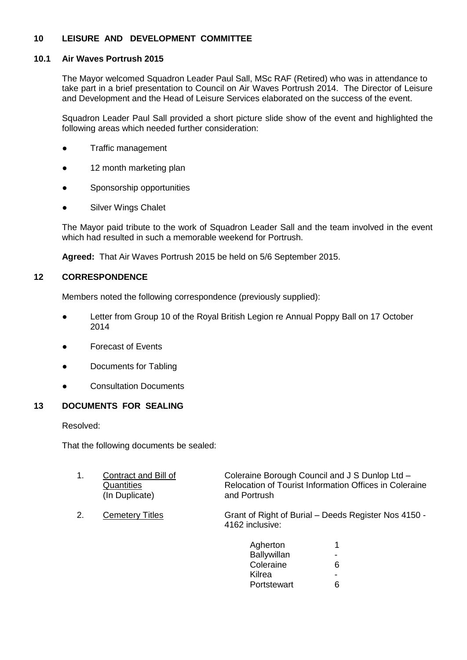# **10 LEISURE AND DEVELOPMENT COMMITTEE**

# **10.1 Air Waves Portrush 2015**

The Mayor welcomed Squadron Leader Paul Sall, MSc RAF (Retired) who was in attendance to take part in a brief presentation to Council on Air Waves Portrush 2014. The Director of Leisure and Development and the Head of Leisure Services elaborated on the success of the event.

Squadron Leader Paul Sall provided a short picture slide show of the event and highlighted the following areas which needed further consideration:

- Traffic management
- 12 month marketing plan
- Sponsorship opportunities
- Silver Wings Chalet

The Mayor paid tribute to the work of Squadron Leader Sall and the team involved in the event which had resulted in such a memorable weekend for Portrush.

**Agreed:** That Air Waves Portrush 2015 be held on 5/6 September 2015.

# **12 CORRESPONDENCE**

Members noted the following correspondence (previously supplied):

- Letter from Group 10 of the Royal British Legion re Annual Poppy Ball on 17 October 2014
- Forecast of Events
- Documents for Tabling
- Consultation Documents

# **13 DOCUMENTS FOR SEALING**

Resolved:

That the following documents be sealed:

| $\mathbf 1$ . | Contract and Bill of<br>Quantities<br>(In Duplicate) | Coleraine Borough Council and J S Dunlop Ltd -<br>Relocation of Tourist Information Offices in Coleraine<br>and Portrush |
|---------------|------------------------------------------------------|--------------------------------------------------------------------------------------------------------------------------|
| 2.            | <b>Cemetery Titles</b>                               | Grant of Right of Burial - Deeds Register Nos 4150 -<br>4162 inclusive:                                                  |
|               |                                                      |                                                                                                                          |

| Agherton    |   |
|-------------|---|
| Ballywillan |   |
| Coleraine   | 6 |
| Kilrea      |   |
| Portstewart |   |
|             |   |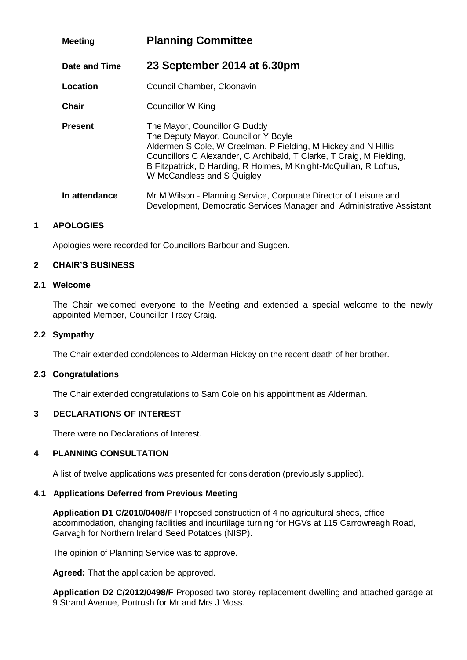| <b>Meeting</b> | <b>Planning Committee</b>                                                                                                                                                                                                                                                                                          |  |
|----------------|--------------------------------------------------------------------------------------------------------------------------------------------------------------------------------------------------------------------------------------------------------------------------------------------------------------------|--|
| Date and Time  | 23 September 2014 at 6.30pm                                                                                                                                                                                                                                                                                        |  |
| Location       | Council Chamber, Cloonavin                                                                                                                                                                                                                                                                                         |  |
| <b>Chair</b>   | <b>Councillor W King</b>                                                                                                                                                                                                                                                                                           |  |
| <b>Present</b> | The Mayor, Councillor G Duddy<br>The Deputy Mayor, Councillor Y Boyle<br>Aldermen S Cole, W Creelman, P Fielding, M Hickey and N Hillis<br>Councillors C Alexander, C Archibald, T Clarke, T Craig, M Fielding,<br>B Fitzpatrick, D Harding, R Holmes, M Knight-McQuillan, R Loftus,<br>W McCandless and S Quigley |  |
| In attendance  | Mr M Wilson - Planning Service, Corporate Director of Leisure and<br>Development, Democratic Services Manager and Administrative Assistant                                                                                                                                                                         |  |

# **1 APOLOGIES**

Apologies were recorded for Councillors Barbour and Sugden.

# **2 CHAIR'S BUSINESS**

#### **2.1 Welcome**

The Chair welcomed everyone to the Meeting and extended a special welcome to the newly appointed Member, Councillor Tracy Craig.

#### **2.2 Sympathy**

The Chair extended condolences to Alderman Hickey on the recent death of her brother.

#### **2.3 Congratulations**

The Chair extended congratulations to Sam Cole on his appointment as Alderman.

# **3 DECLARATIONS OF INTEREST**

There were no Declarations of Interest.

#### **4 PLANNING CONSULTATION**

A list of twelve applications was presented for consideration (previously supplied).

# **4.1 Applications Deferred from Previous Meeting**

**Application D1 C/2010/0408/F** Proposed construction of 4 no agricultural sheds, office accommodation, changing facilities and incurtilage turning for HGVs at 115 Carrowreagh Road, Garvagh for Northern Ireland Seed Potatoes (NISP).

The opinion of Planning Service was to approve.

**Agreed:** That the application be approved.

**Application D2 C/2012/0498/F** Proposed two storey replacement dwelling and attached garage at 9 Strand Avenue, Portrush for Mr and Mrs J Moss.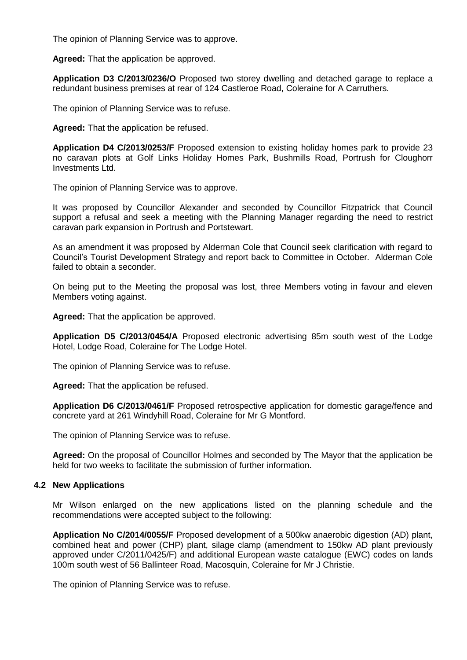The opinion of Planning Service was to approve.

**Agreed:** That the application be approved.

**Application D3 C/2013/0236/O** Proposed two storey dwelling and detached garage to replace a redundant business premises at rear of 124 Castleroe Road, Coleraine for A Carruthers.

The opinion of Planning Service was to refuse.

**Agreed:** That the application be refused.

**Application D4 C/2013/0253/F** Proposed extension to existing holiday homes park to provide 23 no caravan plots at Golf Links Holiday Homes Park, Bushmills Road, Portrush for Cloughorr Investments Ltd.

The opinion of Planning Service was to approve.

It was proposed by Councillor Alexander and seconded by Councillor Fitzpatrick that Council support a refusal and seek a meeting with the Planning Manager regarding the need to restrict caravan park expansion in Portrush and Portstewart.

As an amendment it was proposed by Alderman Cole that Council seek clarification with regard to Council's Tourist Development Strategy and report back to Committee in October. Alderman Cole failed to obtain a seconder.

On being put to the Meeting the proposal was lost, three Members voting in favour and eleven Members voting against.

**Agreed:** That the application be approved.

**Application D5 C/2013/0454/A** Proposed electronic advertising 85m south west of the Lodge Hotel, Lodge Road, Coleraine for The Lodge Hotel.

The opinion of Planning Service was to refuse.

**Agreed:** That the application be refused.

**Application D6 C/2013/0461/F** Proposed retrospective application for domestic garage/fence and concrete yard at 261 Windyhill Road, Coleraine for Mr G Montford.

The opinion of Planning Service was to refuse.

**Agreed:** On the proposal of Councillor Holmes and seconded by The Mayor that the application be held for two weeks to facilitate the submission of further information.

# **4.2 New Applications**

Mr Wilson enlarged on the new applications listed on the planning schedule and the recommendations were accepted subject to the following:

**Application No C/2014/0055/F** Proposed development of a 500kw anaerobic digestion (AD) plant, combined heat and power (CHP) plant, silage clamp (amendment to 150kw AD plant previously approved under C/2011/0425/F) and additional European waste catalogue (EWC) codes on lands 100m south west of 56 Ballinteer Road, Macosquin, Coleraine for Mr J Christie.

The opinion of Planning Service was to refuse.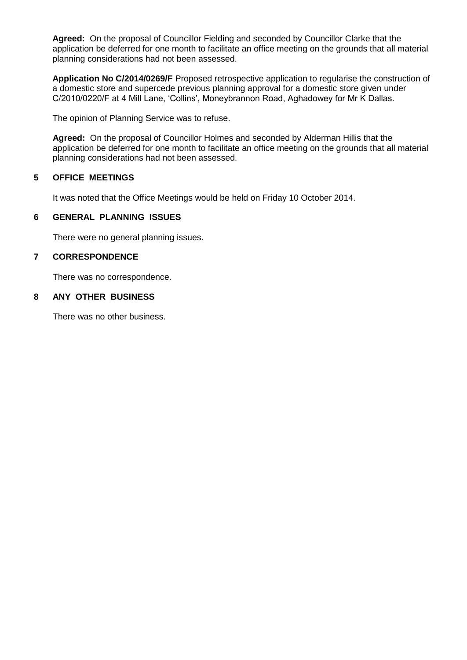**Agreed:** On the proposal of Councillor Fielding and seconded by Councillor Clarke that the application be deferred for one month to facilitate an office meeting on the grounds that all material planning considerations had not been assessed.

**Application No C/2014/0269/F** Proposed retrospective application to regularise the construction of a domestic store and supercede previous planning approval for a domestic store given under C/2010/0220/F at 4 Mill Lane, 'Collins', Moneybrannon Road, Aghadowey for Mr K Dallas.

The opinion of Planning Service was to refuse.

**Agreed:** On the proposal of Councillor Holmes and seconded by Alderman Hillis that the application be deferred for one month to facilitate an office meeting on the grounds that all material planning considerations had not been assessed.

# **5 OFFICE MEETINGS**

It was noted that the Office Meetings would be held on Friday 10 October 2014.

# **6 GENERAL PLANNING ISSUES**

There were no general planning issues.

# **7 CORRESPONDENCE**

There was no correspondence.

# **8 ANY OTHER BUSINESS**

There was no other business.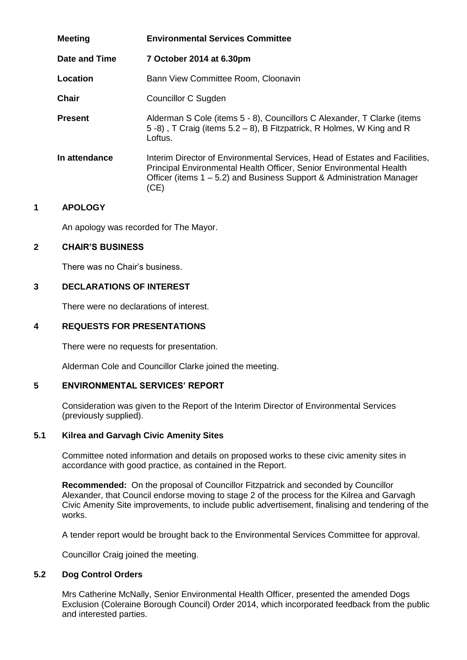| <b>Meeting</b> | <b>Environmental Services Committee</b>                                                                                                                                                                                             |  |
|----------------|-------------------------------------------------------------------------------------------------------------------------------------------------------------------------------------------------------------------------------------|--|
| Date and Time  | 7 October 2014 at 6.30pm                                                                                                                                                                                                            |  |
| Location       | Bann View Committee Room, Cloonavin                                                                                                                                                                                                 |  |
| <b>Chair</b>   | Councillor C Sugden                                                                                                                                                                                                                 |  |
| <b>Present</b> | Alderman S Cole (items 5 - 8), Councillors C Alexander, T Clarke (items<br>5 -8), T Craig (items 5.2 – 8), B Fitzpatrick, R Holmes, W King and R<br>Loftus.                                                                         |  |
| In attendance  | Interim Director of Environmental Services, Head of Estates and Facilities,<br>Principal Environmental Health Officer, Senior Environmental Health<br>Officer (items 1 – 5.2) and Business Support & Administration Manager<br>(CE) |  |

# **1 APOLOGY**

An apology was recorded for The Mayor.

# **2 CHAIR'S BUSINESS**

There was no Chair's business.

# **3 DECLARATIONS OF INTEREST**

There were no declarations of interest.

# **4 REQUESTS FOR PRESENTATIONS**

There were no requests for presentation.

Alderman Cole and Councillor Clarke joined the meeting.

# **5 ENVIRONMENTAL SERVICES' REPORT**

Consideration was given to the Report of the Interim Director of Environmental Services (previously supplied).

# **5.1 Kilrea and Garvagh Civic Amenity Sites**

Committee noted information and details on proposed works to these civic amenity sites in accordance with good practice, as contained in the Report.

**Recommended:** On the proposal of Councillor Fitzpatrick and seconded by Councillor Alexander, that Council endorse moving to stage 2 of the process for the Kilrea and Garvagh Civic Amenity Site improvements, to include public advertisement, finalising and tendering of the works.

A tender report would be brought back to the Environmental Services Committee for approval.

Councillor Craig joined the meeting.

# **5.2 Dog Control Orders**

Mrs Catherine McNally, Senior Environmental Health Officer, presented the amended Dogs Exclusion (Coleraine Borough Council) Order 2014, which incorporated feedback from the public and interested parties.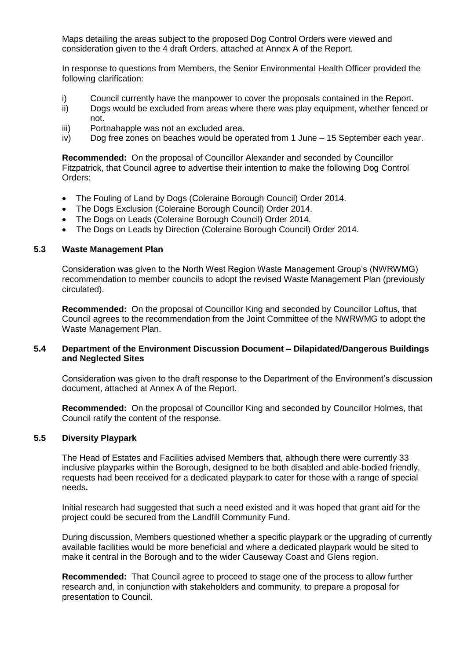Maps detailing the areas subject to the proposed Dog Control Orders were viewed and consideration given to the 4 draft Orders, attached at Annex A of the Report.

In response to questions from Members, the Senior Environmental Health Officer provided the following clarification:

- i) Council currently have the manpower to cover the proposals contained in the Report.
- ii) Dogs would be excluded from areas where there was play equipment, whether fenced or not.
- iii) Portnahapple was not an excluded area.
- iv) Dog free zones on beaches would be operated from 1 June 15 September each year.

**Recommended:** On the proposal of Councillor Alexander and seconded by Councillor Fitzpatrick, that Council agree to advertise their intention to make the following Dog Control Orders:

- The Fouling of Land by Dogs (Coleraine Borough Council) Order 2014.
- The Dogs Exclusion (Coleraine Borough Council) Order 2014.
- The Dogs on Leads (Coleraine Borough Council) Order 2014.
- The Dogs on Leads by Direction (Coleraine Borough Council) Order 2014.

#### **5.3 Waste Management Plan**

Consideration was given to the North West Region Waste Management Group's (NWRWMG) recommendation to member councils to adopt the revised Waste Management Plan (previously circulated).

**Recommended:** On the proposal of Councillor King and seconded by Councillor Loftus, that Council agrees to the recommendation from the Joint Committee of the NWRWMG to adopt the Waste Management Plan.

#### **5.4 Department of the Environment Discussion Document – Dilapidated/Dangerous Buildings and Neglected Sites**

Consideration was given to the draft response to the Department of the Environment's discussion document, attached at Annex A of the Report.

**Recommended:** On the proposal of Councillor King and seconded by Councillor Holmes, that Council ratify the content of the response.

# **5.5 Diversity Playpark**

The Head of Estates and Facilities advised Members that, although there were currently 33 inclusive playparks within the Borough, designed to be both disabled and able-bodied friendly, requests had been received for a dedicated playpark to cater for those with a range of special needs**.**

Initial research had suggested that such a need existed and it was hoped that grant aid for the project could be secured from the Landfill Community Fund.

During discussion, Members questioned whether a specific playpark or the upgrading of currently available facilities would be more beneficial and where a dedicated playpark would be sited to make it central in the Borough and to the wider Causeway Coast and Glens region.

**Recommended:** That Council agree to proceed to stage one of the process to allow further research and, in conjunction with stakeholders and community, to prepare a proposal for presentation to Council.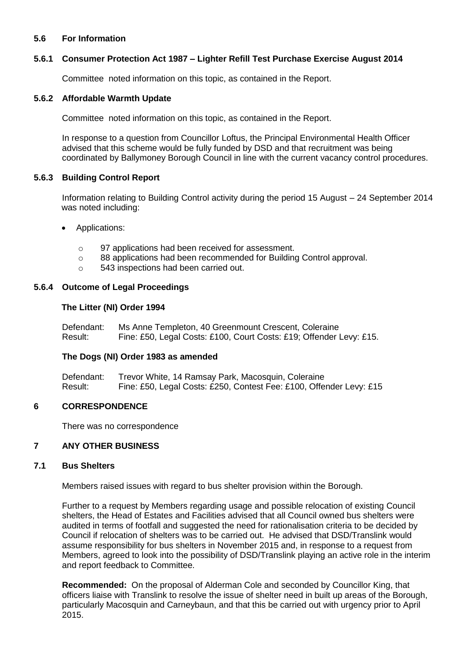# **5.6 For Information**

#### **5.6.1 Consumer Protection Act 1987 – Lighter Refill Test Purchase Exercise August 2014**

Committee noted information on this topic, as contained in the Report.

#### **5.6.2 Affordable Warmth Update**

Committee noted information on this topic, as contained in the Report.

In response to a question from Councillor Loftus, the Principal Environmental Health Officer advised that this scheme would be fully funded by DSD and that recruitment was being coordinated by Ballymoney Borough Council in line with the current vacancy control procedures.

#### **5.6.3 Building Control Report**

Information relating to Building Control activity during the period 15 August – 24 September 2014 was noted including:

- Applications:
	- o 97 applications had been received for assessment.
	- o 88 applications had been recommended for Building Control approval.
	- o 543 inspections had been carried out.

#### **5.6.4 Outcome of Legal Proceedings**

#### **The Litter (NI) Order 1994**

Defendant: Ms Anne Templeton, 40 Greenmount Crescent, Coleraine Result: Fine: £50, Legal Costs: £100, Court Costs: £19; Offender Levy: £15.

# **The Dogs (NI) Order 1983 as amended**

Defendant: Trevor White, 14 Ramsay Park, Macosquin, Coleraine Result: Fine: £50, Legal Costs: £250, Contest Fee: £100, Offender Levy: £15

# **6 CORRESPONDENCE**

There was no correspondence

#### **7 ANY OTHER BUSINESS**

#### **7.1 Bus Shelters**

Members raised issues with regard to bus shelter provision within the Borough.

Further to a request by Members regarding usage and possible relocation of existing Council shelters, the Head of Estates and Facilities advised that all Council owned bus shelters were audited in terms of footfall and suggested the need for rationalisation criteria to be decided by Council if relocation of shelters was to be carried out. He advised that DSD/Translink would assume responsibility for bus shelters in November 2015 and, in response to a request from Members, agreed to look into the possibility of DSD/Translink playing an active role in the interim and report feedback to Committee.

**Recommended:** On the proposal of Alderman Cole and seconded by Councillor King, that officers liaise with Translink to resolve the issue of shelter need in built up areas of the Borough, particularly Macosquin and Carneybaun, and that this be carried out with urgency prior to April 2015.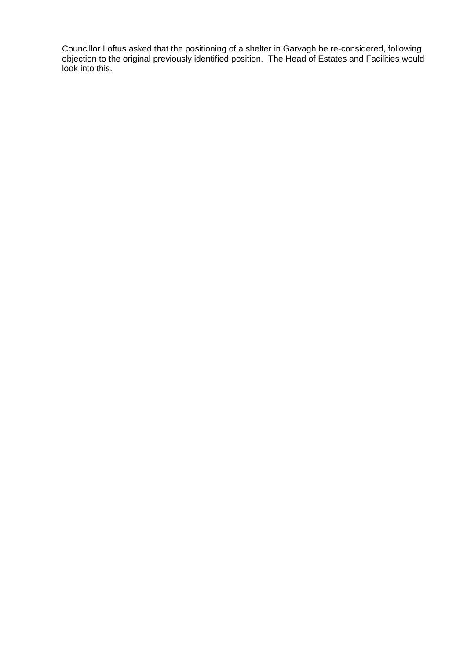Councillor Loftus asked that the positioning of a shelter in Garvagh be re-considered, following objection to the original previously identified position.The Head of Estates and Facilities would look into this.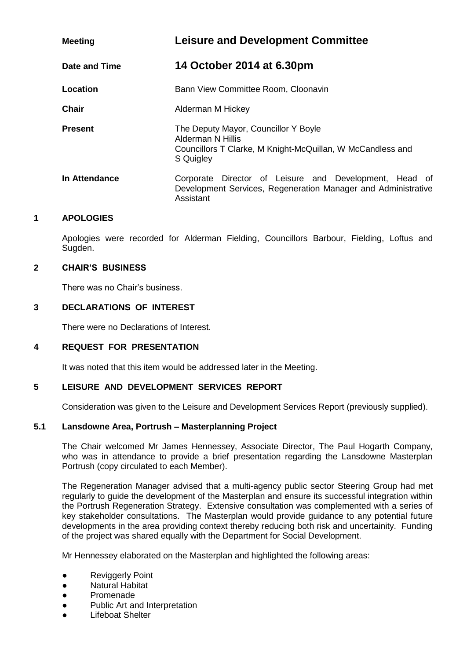| <b>Meeting</b> | <b>Leisure and Development Committee</b>                                                                                                |
|----------------|-----------------------------------------------------------------------------------------------------------------------------------------|
| Date and Time  | 14 October 2014 at 6.30pm                                                                                                               |
| Location       | Bann View Committee Room, Cloonavin                                                                                                     |
| <b>Chair</b>   | Alderman M Hickey                                                                                                                       |
| <b>Present</b> | The Deputy Mayor, Councillor Y Boyle<br>Alderman N Hillis<br>Councillors T Clarke, M Knight-McQuillan, W McCandless and<br>S Quigley    |
| In Attendance  | Director of Leisure and Development, Head of<br>Corporate<br>Development Services, Regeneration Manager and Administrative<br>Assistant |

# **1 APOLOGIES**

Apologies were recorded for Alderman Fielding, Councillors Barbour, Fielding, Loftus and Sugden.

#### **2 CHAIR'S BUSINESS**

There was no Chair's business.

# **3 DECLARATIONS OF INTEREST**

There were no Declarations of Interest.

# **4 REQUEST FOR PRESENTATION**

It was noted that this item would be addressed later in the Meeting.

# **5 LEISURE AND DEVELOPMENT SERVICES REPORT**

Consideration was given to the Leisure and Development Services Report (previously supplied).

# **5.1 Lansdowne Area, Portrush – Masterplanning Project**

The Chair welcomed Mr James Hennessey, Associate Director, The Paul Hogarth Company, who was in attendance to provide a brief presentation regarding the Lansdowne Masterplan Portrush (copy circulated to each Member).

The Regeneration Manager advised that a multi-agency public sector Steering Group had met regularly to guide the development of the Masterplan and ensure its successful integration within the Portrush Regeneration Strategy. Extensive consultation was complemented with a series of key stakeholder consultations. The Masterplan would provide guidance to any potential future developments in the area providing context thereby reducing both risk and uncertainity. Funding of the project was shared equally with the Department for Social Development.

Mr Hennessey elaborated on the Masterplan and highlighted the following areas:

- **Reviggerly Point**
- Natural Habitat
- Promenade
- Public Art and Interpretation
- **Lifeboat Shelter**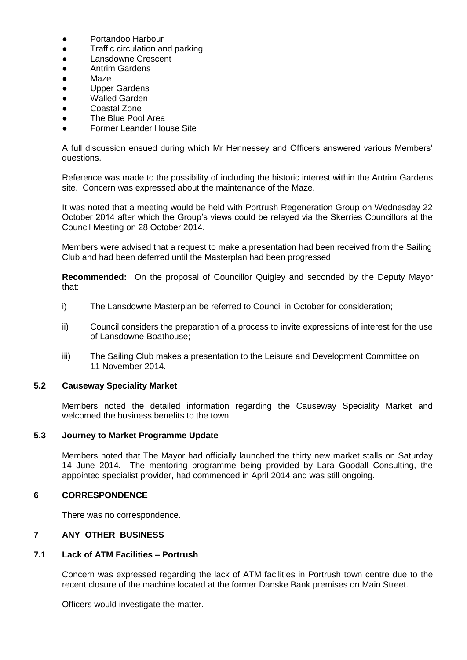- Portandoo Harbour
- Traffic circulation and parking
- Lansdowne Crescent
- Antrim Gardens
- Maze
- Upper Gardens
- **Walled Garden**
- Coastal Zone
- The Blue Pool Area
- Former Leander House Site

A full discussion ensued during which Mr Hennessey and Officers answered various Members' questions.

Reference was made to the possibility of including the historic interest within the Antrim Gardens site. Concern was expressed about the maintenance of the Maze.

It was noted that a meeting would be held with Portrush Regeneration Group on Wednesday 22 October 2014 after which the Group's views could be relayed via the Skerries Councillors at the Council Meeting on 28 October 2014.

Members were advised that a request to make a presentation had been received from the Sailing Club and had been deferred until the Masterplan had been progressed.

**Recommended:** On the proposal of Councillor Quigley and seconded by the Deputy Mayor that:

- i) The Lansdowne Masterplan be referred to Council in October for consideration;
- ii) Council considers the preparation of a process to invite expressions of interest for the use of Lansdowne Boathouse;
- iii) The Sailing Club makes a presentation to the Leisure and Development Committee on 11 November 2014.

# **5.2 Causeway Speciality Market**

Members noted the detailed information regarding the Causeway Speciality Market and welcomed the business benefits to the town.

#### **5.3 Journey to Market Programme Update**

Members noted that The Mayor had officially launched the thirty new market stalls on Saturday 14 June 2014. The mentoring programme being provided by Lara Goodall Consulting, the appointed specialist provider, had commenced in April 2014 and was still ongoing.

# **6 CORRESPONDENCE**

There was no correspondence.

# **7 ANY OTHER BUSINESS**

## **7.1 Lack of ATM Facilities – Portrush**

Concern was expressed regarding the lack of ATM facilities in Portrush town centre due to the recent closure of the machine located at the former Danske Bank premises on Main Street.

Officers would investigate the matter.